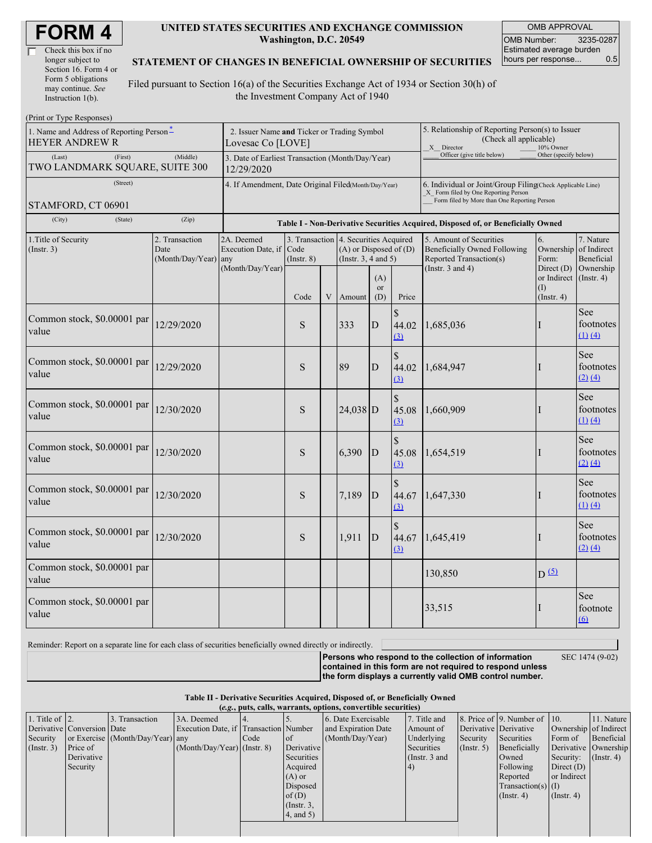| Check this box if no  |  |
|-----------------------|--|
| longer subject to     |  |
| Section 16. Form 4 or |  |
| Form 5 obligations    |  |
| may continue. See     |  |
| Instruction 1(b).     |  |

#### **UNITED STATES SECURITIES AND EXCHANGE COMMISSION Washington, D.C. 20549**

OMB APPROVAL OMB Number: 3235-0287 Estimated average burden hours per response... 0.5

### **STATEMENT OF CHANGES IN BENEFICIAL OWNERSHIP OF SECURITIES**

Filed pursuant to Section 16(a) of the Securities Exchange Act of 1934 or Section 30(h) of the Investment Company Act of 1940

| (Print or Type Responses)                                         |                                                                                                                                                                                                                     |                  |      |   |            |                                                                                                                                                    |                                                                                                       |                                                                  |           |                                          |
|-------------------------------------------------------------------|---------------------------------------------------------------------------------------------------------------------------------------------------------------------------------------------------------------------|------------------|------|---|------------|----------------------------------------------------------------------------------------------------------------------------------------------------|-------------------------------------------------------------------------------------------------------|------------------------------------------------------------------|-----------|------------------------------------------|
| 1. Name and Address of Reporting Person-<br><b>HEYER ANDREW R</b> | 2. Issuer Name and Ticker or Trading Symbol<br>Lovesac Co [LOVE]                                                                                                                                                    |                  |      |   |            |                                                                                                                                                    | 5. Relationship of Reporting Person(s) to Issuer<br>(Check all applicable)<br>X Director<br>10% Owner |                                                                  |           |                                          |
| (Last)<br>(First)<br>TWO LANDMARK SQUARE, SUITE 300               | 3. Date of Earliest Transaction (Month/Day/Year)<br>12/29/2020                                                                                                                                                      |                  |      |   |            | Officer (give title below)                                                                                                                         | Other (specify below)                                                                                 |                                                                  |           |                                          |
| (Street)<br>STAMFORD, CT 06901                                    | 4. If Amendment, Date Original Filed(Month/Day/Year)                                                                                                                                                                |                  |      |   |            | 6. Individual or Joint/Group Filing Check Applicable Line)<br>X Form filed by One Reporting Person<br>Form filed by More than One Reporting Person |                                                                                                       |                                                                  |           |                                          |
| (City)<br>(State)                                                 | (Zip)                                                                                                                                                                                                               |                  |      |   |            |                                                                                                                                                    | Table I - Non-Derivative Securities Acquired, Disposed of, or Beneficially Owned                      |                                                                  |           |                                          |
| 1. Title of Security<br>(Insert. 3)                               | 2. Transaction<br>2A. Deemed<br>3. Transaction 4. Securities Acquired<br>Date<br>Execution Date, if<br>Code<br>$(A)$ or Disposed of $(D)$<br>(Month/Day/Year)<br>$($ Instr. $8)$<br>(Instr. $3, 4$ and $5$ )<br>any |                  |      |   |            | 5. Amount of Securities<br><b>Beneficially Owned Following</b><br>Reported Transaction(s)                                                          | 7. Nature<br>Ownership of Indirect<br>Beneficial                                                      |                                                                  |           |                                          |
|                                                                   |                                                                                                                                                                                                                     | (Month/Day/Year) | Code | V | Amount     | (A)<br><sub>or</sub><br>(D)                                                                                                                        | Price                                                                                                 | (Instr. $3$ and $4$ )<br>Direct $(D)$<br>(I)<br>$($ Instr. 4 $)$ |           | Ownership<br>or Indirect (Instr. 4)      |
| Common stock, \$0.00001 par<br>value                              | 12/29/2020                                                                                                                                                                                                          |                  | S    |   | 333        | $\mathbf D$                                                                                                                                        | \$<br>44.02<br>(3)                                                                                    | 1,685,036                                                        | I         | <b>See</b><br>footnotes<br>$(1)$ $(4)$   |
| Common stock, \$0.00001 par<br>value                              | 12/29/2020                                                                                                                                                                                                          |                  | S    |   | 89         | D                                                                                                                                                  | \$<br>44.02<br>(3)                                                                                    | 1,684,947                                                        |           | See<br>footnotes<br>(2) (4)              |
| Common stock, \$0.00001 par<br>value                              | 12/30/2020                                                                                                                                                                                                          |                  | S    |   | $24,038$ D |                                                                                                                                                    | \$<br>45.08<br>(3)                                                                                    | 1,660,909                                                        |           | See<br>footnotes<br>$(1)$ $(4)$          |
| Common stock, \$0.00001 par<br>value                              | 12/30/2020                                                                                                                                                                                                          |                  | S    |   | 6,390      | D                                                                                                                                                  | \$<br>45.08<br>(3)                                                                                    | 1,654,519                                                        |           | <b>See</b><br>footnotes<br>(2) (4)       |
| Common stock, \$0.00001 par<br>value                              | 12/30/2020                                                                                                                                                                                                          |                  | S    |   | 7,189      | D                                                                                                                                                  | \$<br>44.67<br>(3)                                                                                    | 1,647,330                                                        | I         | See<br>footnotes<br>$(1)$ $(4)$          |
| Common stock, \$0.00001 par<br>value                              | 12/30/2020                                                                                                                                                                                                          |                  | S    |   | 1,911      | $\mathbf D$                                                                                                                                        | $\mathbf{S}$<br>44.67<br>(3)                                                                          | 1,645,419                                                        | I         | See<br>footnotes<br>(2) (4)              |
| Common stock, \$0.00001 par<br>value                              |                                                                                                                                                                                                                     |                  |      |   |            |                                                                                                                                                    |                                                                                                       | 130,850                                                          | $D^{(5)}$ |                                          |
| Common stock, \$0.00001 par<br>value                              |                                                                                                                                                                                                                     |                  |      |   |            |                                                                                                                                                    |                                                                                                       | 33,515                                                           | н         | <b>See</b><br>footnote<br>$\overline{6}$ |

Reminder: Report on a separate line for each class of securities beneficially owned directly or indirectly.

SEC 1474 (9-02)

**Persons who respond to the collection of information contained in this form are not required to respond unless the form displays a currently valid OMB control number.**

**Table II - Derivative Securities Acquired, Disposed of, or Beneficially Owned**

| (e.g., puts, calls, warrants, options, convertible securities) |                            |                                  |                                       |      |                 |                     |                 |                  |                              |                               |                      |
|----------------------------------------------------------------|----------------------------|----------------------------------|---------------------------------------|------|-----------------|---------------------|-----------------|------------------|------------------------------|-------------------------------|----------------------|
| 1. Title of $\vert$ 2.                                         |                            | 3. Transaction                   | 3A. Deemed                            |      |                 | 6. Date Exercisable | 7. Title and    |                  | 8. Price of 9. Number of 10. |                               | 11. Nature           |
|                                                                | Derivative Conversion Date |                                  | Execution Date, if Transaction Number |      |                 | and Expiration Date | Amount of       |                  | Derivative Derivative        | Ownership of Indirect         |                      |
| Security                                                       |                            | or Exercise (Month/Day/Year) any |                                       | Code | <sub>of</sub>   | (Month/Day/Year)    | Underlying      | Security         | Securities                   | Form of                       | Beneficial           |
| (Insert. 3)                                                    | Price of                   |                                  | $(Month/Day/Year)$ (Instr. 8)         |      | Derivative      |                     | Securities      | $($ Instr. 5 $)$ | Beneficially                 |                               | Derivative Ownership |
|                                                                | Derivative                 |                                  |                                       |      | Securities      |                     | (Instr. $3$ and |                  | Owned                        | Security: $(\text{Instr. 4})$ |                      |
|                                                                | Security                   |                                  |                                       |      | Acquired        |                     | 4)              |                  | Following                    | Direct $(D)$                  |                      |
|                                                                |                            |                                  |                                       |      | $(A)$ or        |                     |                 |                  | Reported                     | or Indirect                   |                      |
|                                                                |                            |                                  |                                       |      | Disposed        |                     |                 |                  | Transaction(s) $(I)$         |                               |                      |
|                                                                |                            |                                  |                                       |      | of $(D)$        |                     |                 |                  | $($ Instr. 4)                | $($ Instr. 4)                 |                      |
|                                                                |                            |                                  |                                       |      | $($ Instr. $3,$ |                     |                 |                  |                              |                               |                      |
|                                                                |                            |                                  |                                       |      | $4$ , and $5$ ) |                     |                 |                  |                              |                               |                      |
|                                                                |                            |                                  |                                       |      |                 |                     |                 |                  |                              |                               |                      |
|                                                                |                            |                                  |                                       |      |                 |                     |                 |                  |                              |                               |                      |